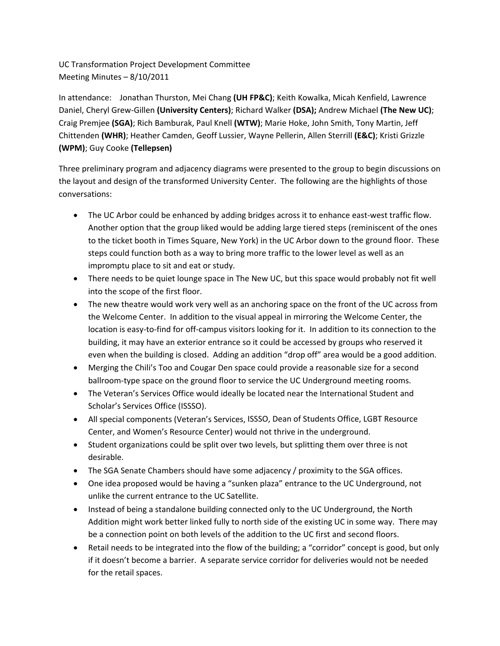UC Transformation Project Development Committee Meeting Minutes – 8/10/2011

In attendance: Jonathan Thurston, Mei Chang **(UH FP&C)**; Keith Kowalka, Micah Kenfield, Lawrence Daniel, Cheryl Grew‐Gillen **(University Centers)**; Richard Walker **(DSA);** Andrew Michael **(The New UC)**; Craig Premjee **(SGA)**; Rich Bamburak, Paul Knell **(WTW)**; Marie Hoke, John Smith, Tony Martin, Jeff Chittenden **(WHR)**; Heather Camden, Geoff Lussier, Wayne Pellerin, Allen Sterrill **(E&C)**; Kristi Grizzle **(WPM)**; Guy Cooke **(Tellepsen)**

Three preliminary program and adjacency diagrams were presented to the group to begin discussions on the layout and design of the transformed University Center. The following are the highlights of those conversations:

- The UC Arbor could be enhanced by adding bridges across it to enhance east-west traffic flow. Another option that the group liked would be adding large tiered steps (reminiscent of the ones to the ticket booth in Times Square, New York) in the UC Arbor down to the ground floor. These steps could function both as a way to bring more traffic to the lower level as well as an impromptu place to sit and eat or study.
- There needs to be quiet lounge space in The New UC, but this space would probably not fit well into the scope of the first floor.
- The new theatre would work very well as an anchoring space on the front of the UC across from the Welcome Center. In addition to the visual appeal in mirroring the Welcome Center, the location is easy‐to‐find for off‐campus visitors looking for it. In addition to its connection to the building, it may have an exterior entrance so it could be accessed by groups who reserved it even when the building is closed. Adding an addition "drop off" area would be a good addition.
- Merging the Chili's Too and Cougar Den space could provide a reasonable size for a second ballroom‐type space on the ground floor to service the UC Underground meeting rooms.
- The Veteran's Services Office would ideally be located near the International Student and Scholar's Services Office (ISSSO).
- All special components (Veteran's Services, ISSSO, Dean of Students Office, LGBT Resource Center, and Women's Resource Center) would not thrive in the underground.
- Student organizations could be split over two levels, but splitting them over three is not desirable.
- The SGA Senate Chambers should have some adjacency / proximity to the SGA offices.
- One idea proposed would be having a "sunken plaza" entrance to the UC Underground, not unlike the current entrance to the UC Satellite.
- Instead of being a standalone building connected only to the UC Underground, the North Addition might work better linked fully to north side of the existing UC in some way. There may be a connection point on both levels of the addition to the UC first and second floors.
- Retail needs to be integrated into the flow of the building; a "corridor" concept is good, but only if it doesn't become a barrier. A separate service corridor for deliveries would not be needed for the retail spaces.